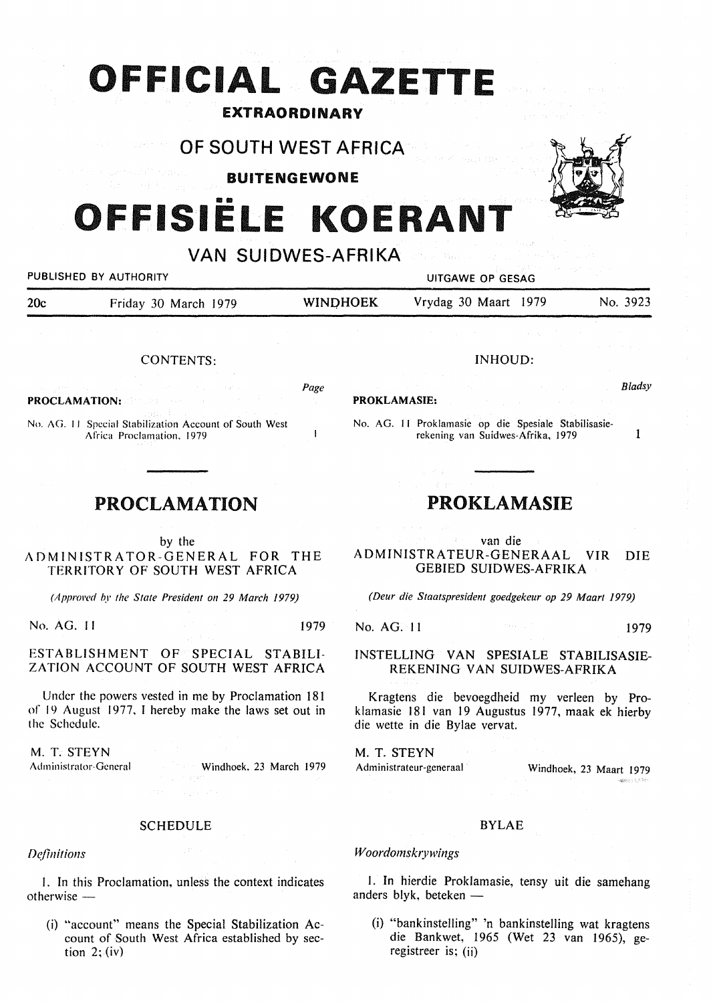# **OF ICIAL GAZETTE**

# EXTRAORDINARY

OF SOUTH WEST AFRICA

### BUITENGEWONE

# OFFISIËLE KOERAN<sup>®</sup>

VAN SUIDWES-AFRIKA

*Page* 

### PUBLISHED BY AUTHORITY **EXECUTE A SECOND TEST OF SECOND PUTGAWE OP GESAG**

**PROCLAMATION:** 

20c Friday 30 March 1979 WINDHOEK Vrydag 30 Maart 1979 No. 3923

**PROKLAMASIE:** 

William

## INHOUD:

*Bladsy* 

No. AG. 11 Proklamasie op die Spesiale Stabilisasierekening van Suidwes-Afrika, 1979

1

## **PROCLAMATION**

CONTENTS:

No. AG. 11 Special Stabilization Account of South West Africa Proclamation. 1979

by the

ADMINISTRATOR-GENERAL FOR THE TERRITORY OF SOUTH WEST AFRICA

*(Approved by the State President on 29 March 1979)* 

No. AG. 11 1979

#### ESTABLISHMENT OF SPECIAL STABILI-ZATION ACCOUNT OF SOUTH WEST AFRICA

Under the powers vested in me by Proclamation 181 of 19 August 1977, I hereby make the laws set out in the Schedule.

M. T. **STEYN**  Administrator-General

Windhoek. 23 March 1979

#### SCHEDULE

*Definitions* 

I. In this Proclamation, unless the context indicates  $otherwise -$ 

(i) "account" means the Special Stabilization Account of South West Africa established by section  $2$ ; (iv)

## **PROKLAMASIE**

van die A DMINISTRATEUR-GENERAAL VIR DIE GEBIED SUIDWES-AFRIKA

*(Deur die Staatspresident goedgekeur op 29 Maart 1979)* 

No. AG. 11 1979

#### INSTELLING VAN SPESIALE STABILISASIE-REKENING VAN SUIDWES-AFRIKA

Kragtens die bevoegdheid my verleen by Prok lamasie 181 van 19 Augustus 1977, maak ek hierby die wette in die Bylae vervat.

M. T. **STEYN**  Administrateur-generaal Windhoek, 23 Maart 1979

#### **BYLAE**

#### *Woordomskrywings*

I. In hierdie Proklamasie, tensy uit die samehang anders blyk, beteken  $-$ 

(i) "bankinstelling" 'n bankinstelling wat kragtens die Bankwet, 1965 (Wet 23 van 1965), geregistreer is; (ii)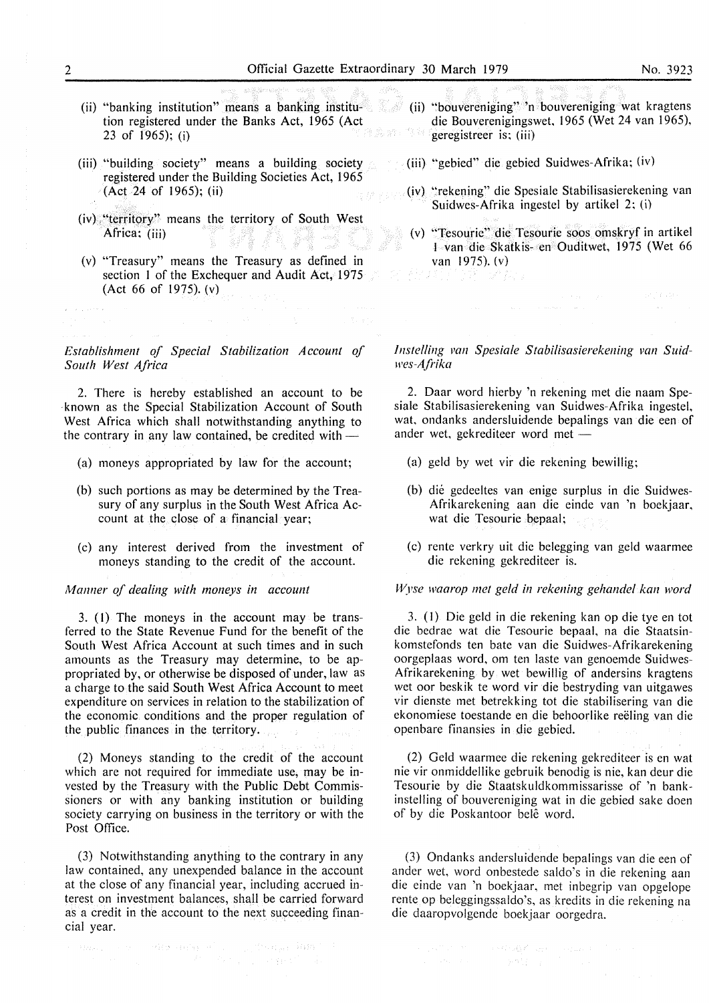- (ii) "banking institution" means a banking institu-(ii) "bouvereniging" 'n bouvereniging wat kragtens tion registered under the Banks Act, 1965 (Act 23 of 1965); (i)
- (iii) "building society" means a building society registered under the Building Societies Act, 1965 (Act 24 of 1965); (ii)
- (iv), "territory" means the territory of South West Africa; (iii)
- (v) "Treasury" means the Treasury as defined in section I of the Exchequer and Audit Act, 1975 (Act 66 of 1975). (v)

*Establishment of Special Stabilization Account of South West Africa* 

2. There is hereby established an account to be known as the Special Stabilization Account of South West Africa which shall notwithstanding anything to the contrary in any law contained, be credited with  $-$ 

- (a) moneys appropriated by law for the account;
- (b) such portions as may be determined by the Treasury of any surplus in the South West Africa Account at the close of a financial year;
- (c) any interest derived from the investment of moneys standing to the credit of the account.

*Manner of dealing with moneys in account* 

3. (I) The moneys in the account may be transferred to the State Revenue Fund for the benefit of the South West Africa Account at such times and in such amounts as the Treasury may determine, to be appropriated by, or otherwise be disposed of under, law as a charge to the said South West Africa Account to meet expenditure on services in relation to the stabilization of the economic conditions and the proper regulation of the public finances in the territory.

(2) Moneys standing to the credit of the account which are not required for immediate use, may be invested by the Treasury with the Public Debt Commissioners or with any banking institution or building society carrying on business in the territory or with the Post Office.

(3) Notwithstanding anything to the contrary in any law contained, any unexpended balance in the account at the close of any financial year, including accrued interest on investment balances, shall be carried forward as a credit in the account to the next succeeding financial year.

- die Bouverenigingswet, 1965 (Wet 24 van 1965), geregistreer is; (iii)
- (iii) "gebied" die gebied Suidwes-Afrika; (iv)
- (iv) "rekening" die Spesiale Stabilisasierekening van Suidwes-Afrika ingestel by artikel 2; (i)
- (v) "Tesourie" die Tesourie soos omskryf in artikel I van die Skatkis- en Ouditwet, 1975 (Wet 66 **van 1975).** (v)<br> $\frac{1}{2}$  (v)  $\frac{1}{2}$  (v)  $\frac{1}{2}$  (v)  $\frac{1}{2}$

 $\label{eq:1} \mathcal{O}(p) = p \cdot \frac{1}{\sqrt{2}} \exp\left(-\frac{1}{2} \int_{0}^{1} \mathcal{E} \left(\frac{d\mathbf{r}}{dt}\right)^2 \mathbf{r} \right)$ 

*lnstelling van Spesiale Stabilisasierekening van Suidwes-AJ,·ika* 

2. Daar word hierby 'n rekening met die naam Spesiale Stabilisasierekening van Suidwes-Afrika ingestel, wat, ondanks andersluidende bepalings van die een of ander wet, gekrediteer word met -

- (a) geld by wet vir die rekening bewillig;
- (b) die gedeeltes van enige surplus in die Suidwes-Afrikarekening aan die einde van 'n boekjaar, wat die Tesourie bepaal;
- (c) rente verkry uit die belegging van geld waarrnee die rekening gekrediteer is.

*Wyse waarop met geld in rekening gehandel kan word* 

3. (I) Die geld in die rekening kan op die tye en tot die bedrae wat die Tesourie bepaal, na die Staatsinkornstefonds ten bate van die Suidwes-Afrikarekening oorgeplaas word, om ten laste van genoernde Suidwes-Afrikarekening by wet bewillig of andersins kragtens wet oor beskik te word vir die bestryding van uitgawes vir dienste met betrekking tot die stabilisering van die ekonomiese toestande en die behoorlike reeling van die openbare finansies in die gebied.

(2) Geld waarmee die rekening gekrediteer is en wat nie vir onmiddellike gebruik benodig is nie, kan deur die Tesourie by die Staatskuldkommissarisse of 'n bankinstelling of bouvereniging wat in die gebied sake doen of by die Poskantoor belê word.

(3) Ondanks andersluidende bepalings van die een of ander wet, word onbestede saldo's in die rekening aan die einde van 'n boekjaar, met inbegrip van opgelope rente op beleggingssaldo's, as kredits in die rekening na die daaropvolgende boekjaar oorgedra.

 $\label{eq:mass} \begin{split} \langle m m \rho_{\rm eff} \rangle \sim \gamma_{\rm eff} = 2442 \times 0.588 \cdot \sigma^2 \gamma_{\rm eff} = \gamma_{\rm eff} (250 \, \sigma_{\rm eff} \, \sinh^2 \phi^{-1}) \\ \langle \phi \rangle \sim \gamma_{\rm eff} = 25 \times \gamma_{\rm eff} \, \gamma_{\rm eff} = \gamma_{\rm eff} \, \gamma_{\rm eff}^{-1} = 3 \,, \end{split}$ 

 $\label{eq:Ricci} \mathcal{L} = \frac{1}{2} \left[ \mathcal{L} \mathcal{L}^{\text{obs}} \left( \mathcal{L}^{\text{obs}} \right) \right] \mathcal{L}^{\text{obs}} \left( \mathcal{L}^{\text{obs}} \right) \mathcal{L}^{\text{obs}} \left( \mathcal{L}^{\text{obs}} \right) \mathcal{L}^{\text{obs}} \left( \mathcal{L}^{\text{obs}} \right) \mathcal{L}^{\text{obs}} \left( \mathcal{L}^{\text{obs}} \right) \mathcal{L}^{\text{obs}} \left( \mathcal{L}^{\text{obs}} \right) \mathcal{L$